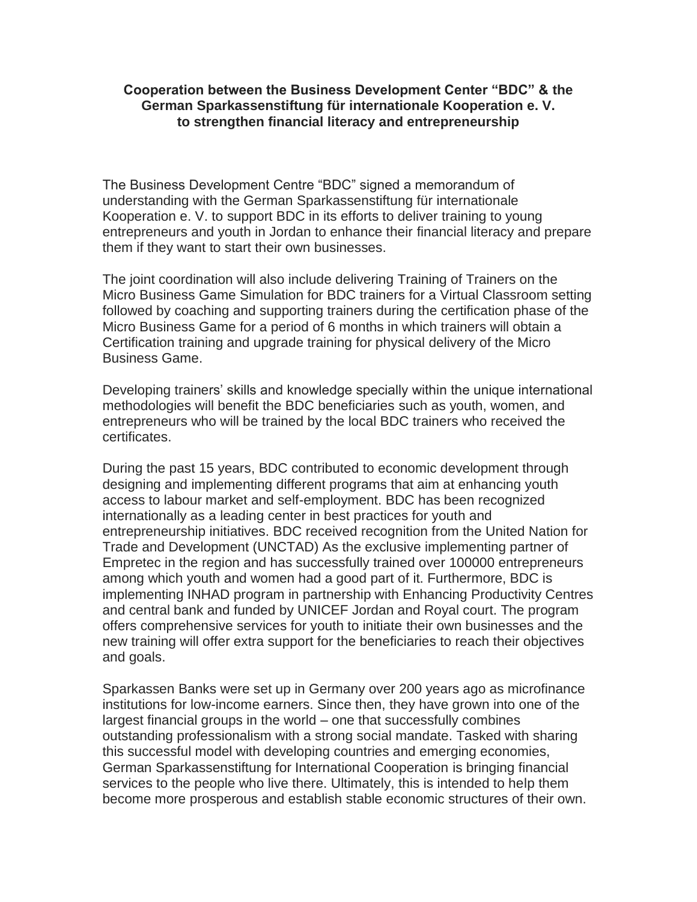## **Cooperation between the Business Development Center "BDC" & the German Sparkassenstiftung für internationale Kooperation e. V. to strengthen financial literacy and entrepreneurship**

The Business Development Centre "BDC" signed a memorandum of understanding with the German Sparkassenstiftung für internationale Kooperation e. V. to support BDC in its efforts to deliver training to young entrepreneurs and youth in Jordan to enhance their financial literacy and prepare them if they want to start their own businesses.

The joint coordination will also include delivering Training of Trainers on the Micro Business Game Simulation for BDC trainers for a Virtual Classroom setting followed by coaching and supporting trainers during the certification phase of the Micro Business Game for a period of 6 months in which trainers will obtain a Certification training and upgrade training for physical delivery of the Micro Business Game.

Developing trainers' skills and knowledge specially within the unique international methodologies will benefit the BDC beneficiaries such as youth, women, and entrepreneurs who will be trained by the local BDC trainers who received the certificates.

During the past 15 years, BDC contributed to economic development through designing and implementing different programs that aim at enhancing youth access to labour market and self-employment. BDC has been recognized internationally as a leading center in best practices for youth and entrepreneurship initiatives. BDC received recognition from the United Nation for Trade and Development (UNCTAD) As the exclusive implementing partner of Empretec in the region and has successfully trained over 100000 entrepreneurs among which youth and women had a good part of it. Furthermore, BDC is implementing INHAD program in partnership with Enhancing Productivity Centres and central bank and funded by UNICEF Jordan and Royal court. The program offers comprehensive services for youth to initiate their own businesses and the new training will offer extra support for the beneficiaries to reach their objectives and goals.

Sparkassen Banks were set up in Germany over 200 years ago as microfinance institutions for low-income earners. Since then, they have grown into one of the largest financial groups in the world – one that successfully combines outstanding professionalism with a strong social mandate. Tasked with sharing this successful model with developing countries and emerging economies, German Sparkassenstiftung for International Cooperation is bringing financial services to the people who live there. Ultimately, this is intended to help them become more prosperous and establish stable economic structures of their own.